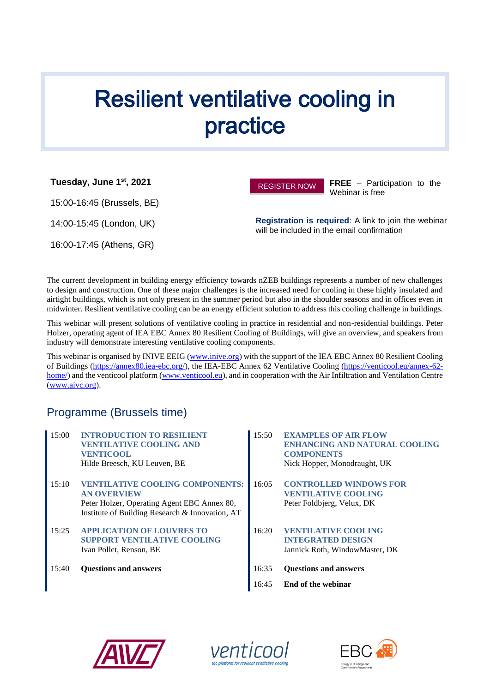# **Resilient ventilative cooling in** practice

**Tuesday, June 1st, 2021**

15:00-16:45 (Brussels, BE)

14:00-15:45 (London, UK)

16:00-17:45 (Athens, GR)



**FREE** – Participation to the Webinar is free

**Registration is required**: A link to join the webinar will be included in the email confirmation

The current development in building energy efficiency towards nZEB buildings represents a number of new challenges to design and construction. One of these major challenges is the increased need for cooling in these highly insulated and airtight buildings, which is not only present in the summer period but also in the shoulder seasons and in offices even in midwinter. Resilient ventilative cooling can be an energy efficient solution to address this cooling challenge in buildings.

This webinar will present solutions of ventilative cooling in practice in residential and non-residential buildings. Peter Holzer, operating agent of IEA EBC Annex 80 Resilient Cooling of Buildings, will give an overview, and speakers from industry will demonstrate interesting ventilative cooling components.

This webinar is organised by INIVE EEIG [\(www.inive.org\)](http://www.inive.org/) with the support of the IEA EBC Annex 80 Resilient Cooling of Buildings [\(https://annex80.iea-ebc.org/\)](https://annex80.iea-ebc.org/), the IEA-EBC Annex 62 Ventilative Cooling [\(https://venticool.eu/annex-62](https://venticool.eu/annex-62-home/) [home/\)](https://venticool.eu/annex-62-home/) and the venticool platform [\(www.venticool.eu\)](http://www.venticool.eu/), and in cooperation with the Air Infiltration and Ventilation Centre [\(www.aivc.org\)](http://www.aivc.org/).

# Programme (Brussels time)

- 15:00 **INTRODUCTION TO RESILIENT VENTILATIVE COOLING AND VENTICOOL** Hilde Breesch, KU Leuven, BE 15:10 **VENTILATIVE COOLING COMPONENTS: AN OVERVIEW** Peter Holzer, Operating Agent EBC Annex 80, Institute of Building Research & Innovation, AT 15:25 **APPLICATION OF LOUVRES TO SUPPORT VENTILATIVE COOLING** Ivan Pollet, Renson, BE 15:40 **Questions and answers** 16:35 **Questions and answers**
	- 15:50 **EXAMPLES OF AIR FLOW ENHANCING AND NATURAL COOLING COMPONENTS** Nick Hopper, Monodraught, UK
	- 16:05 **CONTROLLED WINDOWS FOR VENTILATIVE COOLING** Peter Foldbjerg, Velux, DK
	- 16:20 **VENTILATIVE COOLING INTEGRATED DESIGN**  Jannick Roth, WindowMaster, DK
	-
	- 16:45 **End of the webinar**